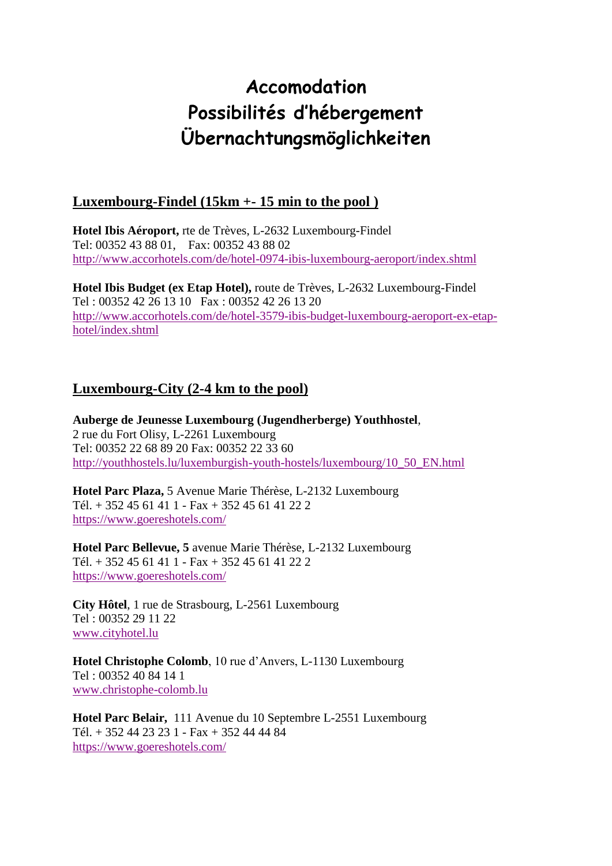# **Accomodation Possibilités d'hébergement Übernachtungsmöglichkeiten**

## **Luxembourg-Findel (15km +- 15 min to the pool )**

**Hotel Ibis Aéroport,** rte de Trèves, L-2632 Luxembourg-Findel Tel: 00352 43 88 01, Fax: 00352 43 88 02 <http://www.accorhotels.com/de/hotel-0974-ibis-luxembourg-aeroport/index.shtml>

**Hotel Ibis Budget (ex Etap Hotel),** route de Trèves, L-2632 Luxembourg-Findel Tel : 00352 42 26 13 10 Fax : 00352 42 26 13 20 [http://www.accorhotels.com/de/hotel-3579-ibis-budget-luxembourg-aeroport-ex-etap](http://www.accorhotels.com/de/hotel-3579-ibis-budget-luxembourg-aeroport-ex-etap-hotel/index.shtml)[hotel/index.shtml](http://www.accorhotels.com/de/hotel-3579-ibis-budget-luxembourg-aeroport-ex-etap-hotel/index.shtml)

## **Luxembourg-City (2-4 km to the pool)**

**Auberge de Jeunesse Luxembourg (Jugendherberge) Youthhostel**, 2 rue du Fort Olisy, L-2261 Luxembourg Tel: 00352 22 68 89 20 Fax: 00352 22 33 60 [http://youthhostels.lu/luxemburgish-youth-hostels/luxembourg/10\\_50\\_EN.html](http://youthhostels.lu/luxemburgish-youth-hostels/luxembourg/10_50_EN.html)

**Hotel Parc Plaza,** 5 Avenue Marie Thérèse, L-2132 Luxembourg Tél. + 352 45 61 41 1 - Fax + 352 45 61 41 22 2 <https://www.goereshotels.com/>

**Hotel Parc Bellevue, 5** avenue Marie Thérèse, L-2132 Luxembourg Tél. + 352 45 61 41 1 - Fax + 352 45 61 41 22 2 <https://www.goereshotels.com/>

**City Hôtel**, 1 rue de Strasbourg, L-2561 Luxembourg Tel : 00352 29 11 22 [www.cityhotel.lu](http://www.cityhotel.lu/)

**Hotel Christophe Colomb**, 10 rue d'Anvers, L-1130 Luxembourg Tel : 00352 40 84 14 1 [www.christophe-colomb.lu](http://www.christophe-colomb.lu/)

**Hotel Parc Belair,** 111 Avenue du 10 Septembre L-2551 Luxembourg Tél. + 352 44 23 23 1 - Fax + 352 44 44 84 <https://www.goereshotels.com/>